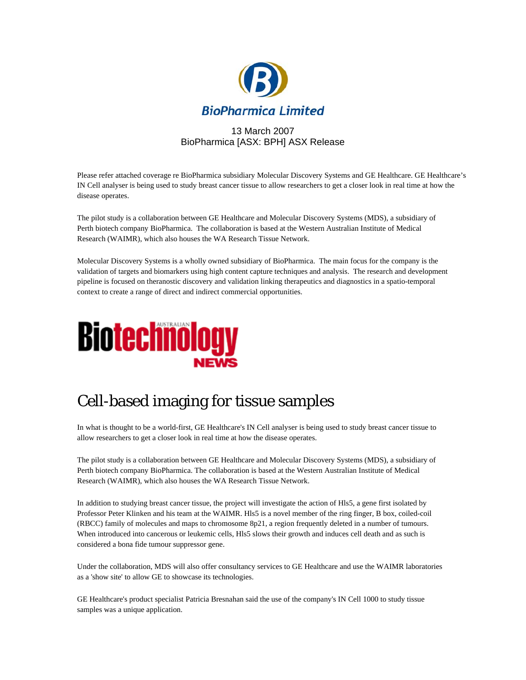

## 13 March 2007 BioPharmica [ASX: BPH] ASX Release

Please refer attached coverage re BioPharmica subsidiary Molecular Discovery Systems and GE Healthcare. GE Healthcare's IN Cell analyser is being used to study breast cancer tissue to allow researchers to get a closer look in real time at how the disease operates.

The pilot study is a collaboration between GE Healthcare and Molecular Discovery Systems (MDS), a subsidiary of Perth biotech company BioPharmica. The collaboration is based at the Western Australian Institute of Medical Research (WAIMR), which also houses the WA Research Tissue Network.

Molecular Discovery Systems is a wholly owned subsidiary of BioPharmica. The main focus for the company is the validation of targets and biomarkers using high content capture techniques and analysis. The research and development pipeline is focused on theranostic discovery and validation linking therapeutics and diagnostics in a spatio-temporal context to create a range of direct and indirect commercial opportunities.



## Cell-based imaging for tissue samples

In what is thought to be a world-first, GE Healthcare's IN Cell analyser is being used to study breast cancer tissue to allow researchers to get a closer look in real time at how the disease operates.

The pilot study is a collaboration between GE Healthcare and Molecular Discovery Systems (MDS), a subsidiary of Perth biotech company BioPharmica. The collaboration is based at the Western Australian Institute of Medical Research (WAIMR), which also houses the WA Research Tissue Network.

In addition to studying breast cancer tissue, the project will investigate the action of Hls5, a gene first isolated by Professor Peter Klinken and his team at the WAIMR. Hls5 is a novel member of the ring finger, B box, coiled-coil (RBCC) family of molecules and maps to chromosome 8p21, a region frequently deleted in a number of tumours. When introduced into cancerous or leukemic cells, Hls5 slows their growth and induces cell death and as such is considered a bona fide tumour suppressor gene.

Under the collaboration, MDS will also offer consultancy services to GE Healthcare and use the WAIMR laboratories as a 'show site' to allow GE to showcase its technologies.

GE Healthcare's product specialist Patricia Bresnahan said the use of the company's IN Cell 1000 to study tissue samples was a unique application.